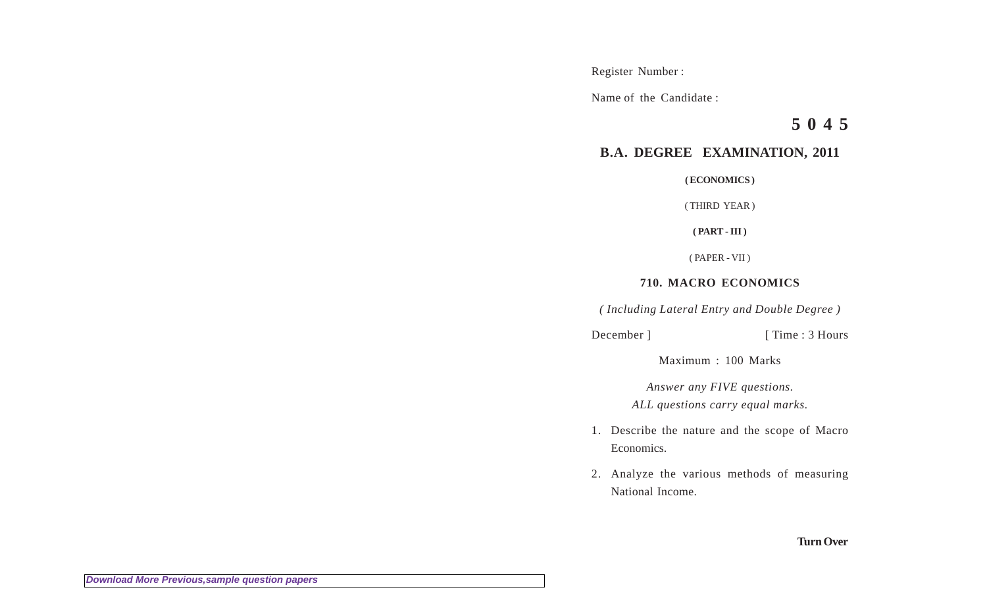Register Number :

Name of the Candidate :

**5 0 4 5**

## **B.A. DEGREE EXAMINATION, 2011**

**( ECONOMICS )**

( THIRD YEAR )

**( PART - III )**

( PAPER - VII )

## **710. MACRO ECONOMICS**

*( Including Lateral Entry and Double Degree )*

December ] [ Time : 3 Hours

Maximum : 100 Marks

*Answer any FIVE questions.*

*ALL questions carry equal marks.*

- 1. Describe the nature and the scope of Macro Economics.
- 2. Analyze the various methods of measuring National Income.

**Turn Over**